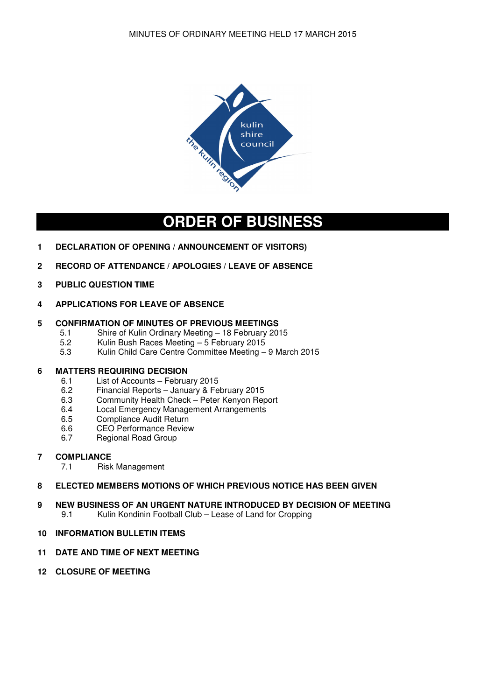

## **ORDER OF BUSINESS**

- **1 DECLARATION OF OPENING / ANNOUNCEMENT OF VISITORS)**
- **2 RECORD OF ATTENDANCE / APOLOGIES / LEAVE OF ABSENCE**
- **3 PUBLIC QUESTION TIME**
- **4 APPLICATIONS FOR LEAVE OF ABSENCE**

# **5 CONFIRMATION OF MINUTES OF PREVIOUS MEETINGS**<br>5.1 Shire of Kulin Ordinary Meeting – 18 February 20

- 5.1 Shire of Kulin Ordinary Meeting 18 February 2015<br>5.2 Kulin Bush Races Meeting 5 February 2015
- 5.2 Kulin Bush Races Meeting 5 February 2015
- 5.3 Kulin Child Care Centre Committee Meeting 9 March 2015

### **6 MATTERS REQUIRING DECISION**

- 6.1 List of Accounts February 2015
- 6.2 Financial Reports January & February 2015
- 6.3 Community Health Check Peter Kenyon Report<br>6.4 Local Emergency Management Arrangements
- Local Emergency Management Arrangements
- 6.5 Compliance Audit Return
- 6.6 CEO Performance Review<br>6.7 Regional Road Group
- Regional Road Group

### **7 COMPLIANCE**

7.1 Risk Management

### **8 ELECTED MEMBERS MOTIONS OF WHICH PREVIOUS NOTICE HAS BEEN GIVEN**

- **9 NEW BUSINESS OF AN URGENT NATURE INTRODUCED BY DECISION OF MEETING**<br>9.1 Kulin Kondinin Football Club Lease of Land for Cropping Kulin Kondinin Football Club – Lease of Land for Cropping
- **10 INFORMATION BULLETIN ITEMS**

### **11 DATE AND TIME OF NEXT MEETING**

**12 CLOSURE OF MEETING**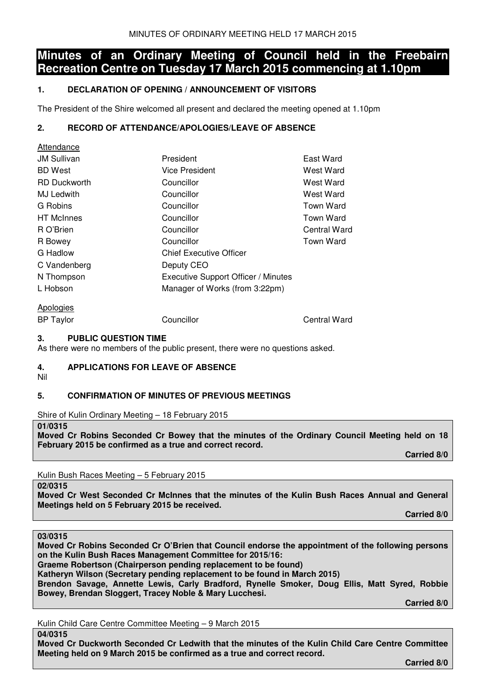## **Minutes of an Ordinary Meeting of Council held in the Freebairn Recreation Centre on Tuesday 17 March 2015 commencing at 1.10pm**

### **1. DECLARATION OF OPENING / ANNOUNCEMENT OF VISITORS**

The President of the Shire welcomed all present and declared the meeting opened at 1.10pm

### **2. RECORD OF ATTENDANCE/APOLOGIES/LEAVE OF ABSENCE**

| <b>Allenuance</b>   |                                     |                  |
|---------------------|-------------------------------------|------------------|
| <b>JM Sullivan</b>  | President                           | East Ward        |
| <b>BD</b> West      | Vice President                      | West Ward        |
| <b>RD Duckworth</b> | Councillor                          | West Ward        |
| MJ Ledwith          | Councillor                          | West Ward        |
| G Robins            | Councillor                          | <b>Town Ward</b> |
| <b>HT</b> McInnes   | Councillor                          | Town Ward        |
| R O'Brien           | Councillor                          | Central Ward     |
| R Bowey             | Councillor                          | <b>Town Ward</b> |
| G Hadlow            | <b>Chief Executive Officer</b>      |                  |
| C Vandenberg        | Deputy CEO                          |                  |
| N Thompson          | Executive Support Officer / Minutes |                  |
| L Hobson            | Manager of Works (from 3:22pm)      |                  |
| Apologies           |                                     |                  |

BP Taylor Councillor Central Ward

Attendance

### **3. PUBLIC QUESTION TIME**

As there were no members of the public present, there were no questions asked.

### **4. APPLICATIONS FOR LEAVE OF ABSENCE**

Nil

## **5. CONFIRMATION OF MINUTES OF PREVIOUS MEETINGS**

Shire of Kulin Ordinary Meeting – 18 February 2015

#### **01/0315**

**Moved Cr Robins Seconded Cr Bowey that the minutes of the Ordinary Council Meeting held on 18 February 2015 be confirmed as a true and correct record.** 

 **Carried 8/0** 

Kulin Bush Races Meeting – 5 February 2015

**02/0315** 

**Moved Cr West Seconded Cr McInnes that the minutes of the Kulin Bush Races Annual and General Meetings held on 5 February 2015 be received.** 

 **Carried 8/0** 

**03/0315** 

**Moved Cr Robins Seconded Cr O'Brien that Council endorse the appointment of the following persons on the Kulin Bush Races Management Committee for 2015/16: Graeme Robertson (Chairperson pending replacement to be found)** 

**Katheryn Wilson (Secretary pending replacement to be found in March 2015)** 

**Brendon Savage, Annette Lewis, Carly Bradford, Rynelle Smoker, Doug Ellis, Matt Syred, Robbie Bowey, Brendan Sloggert, Tracey Noble & Mary Lucchesi.** 

 **Carried 8/0** 

Kulin Child Care Centre Committee Meeting – 9 March 2015

**04/0315** 

**Moved Cr Duckworth Seconded Cr Ledwith that the minutes of the Kulin Child Care Centre Committee Meeting held on 9 March 2015 be confirmed as a true and correct record.** 

 **Carried 8/0**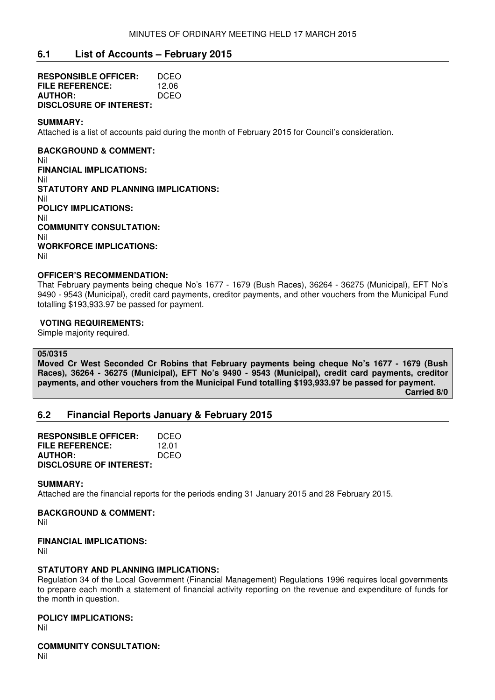### **6.1 List of Accounts – February 2015**

| <b>RESPONSIBLE OFFICER:</b>    | DCEO  |
|--------------------------------|-------|
| FILE REFERENCE:                | 12.06 |
| <b>AUTHOR:</b>                 | DCEO  |
| <b>DISCLOSURE OF INTEREST:</b> |       |

#### **SUMMARY:**

Attached is a list of accounts paid during the month of February 2015 for Council's consideration.

### **BACKGROUND & COMMENT:**

Nil **FINANCIAL IMPLICATIONS:**  Nil **STATUTORY AND PLANNING IMPLICATIONS:**  Nil **POLICY IMPLICATIONS:**  Nil **COMMUNITY CONSULTATION:**  Nil **WORKFORCE IMPLICATIONS:**  Nil

#### **OFFICER'S RECOMMENDATION:**

That February payments being cheque No's 1677 - 1679 (Bush Races), 36264 - 36275 (Municipal), EFT No's 9490 - 9543 (Municipal), credit card payments, creditor payments, and other vouchers from the Municipal Fund totalling \$193,933.97 be passed for payment.

### **VOTING REQUIREMENTS:**

Simple majority required.

### **05/0315**

**Moved Cr West Seconded Cr Robins that February payments being cheque No's 1677 - 1679 (Bush Races), 36264 - 36275 (Municipal), EFT No's 9490 - 9543 (Municipal), credit card payments, creditor payments, and other vouchers from the Municipal Fund totalling \$193,933.97 be passed for payment. Carried 8/0** 

### **6.2 Financial Reports January & February 2015**

| <b>RESPONSIBLE OFFICER:</b>    | DCEO  |
|--------------------------------|-------|
| FILE REFERENCE:                | 12.01 |
| <b>AUTHOR:</b>                 | DCEO  |
| <b>DISCLOSURE OF INTEREST:</b> |       |

#### **SUMMARY:**

Attached are the financial reports for the periods ending 31 January 2015 and 28 February 2015.

### **BACKGROUND & COMMENT:**

Nil

### **FINANCIAL IMPLICATIONS:**

Nil

### **STATUTORY AND PLANNING IMPLICATIONS:**

Regulation 34 of the Local Government (Financial Management) Regulations 1996 requires local governments to prepare each month a statement of financial activity reporting on the revenue and expenditure of funds for the month in question.

### **POLICY IMPLICATIONS:**

Nil

**COMMUNITY CONSULTATION:** 

Nil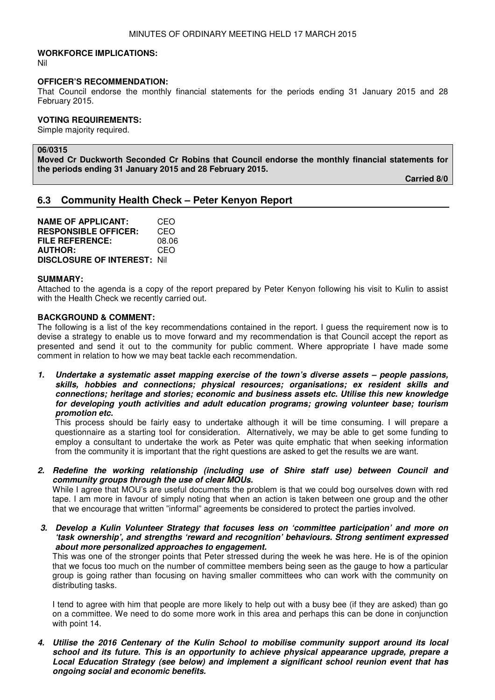#### **WORKFORCE IMPLICATIONS:**

Nil

#### **OFFICER'S RECOMMENDATION:**

That Council endorse the monthly financial statements for the periods ending 31 January 2015 and 28 February 2015.

### **VOTING REQUIREMENTS:**

Simple majority required.

#### **06/0315**

**Moved Cr Duckworth Seconded Cr Robins that Council endorse the monthly financial statements for the periods ending 31 January 2015 and 28 February 2015.** 

 **Carried 8/0** 

### **6.3 Community Health Check – Peter Kenyon Report**

**NAME OF APPLICANT:** CEO **RESPONSIBLE OFFICER:** CEO **FILE REFERENCE:** 08.06 **AUTHOR: DISCLOSURE OF INTEREST:** Nil

#### **SUMMARY:**

Attached to the agenda is a copy of the report prepared by Peter Kenyon following his visit to Kulin to assist with the Health Check we recently carried out.

#### **BACKGROUND & COMMENT:**

The following is a list of the key recommendations contained in the report. I guess the requirement now is to devise a strategy to enable us to move forward and my recommendation is that Council accept the report as presented and send it out to the community for public comment. Where appropriate I have made some comment in relation to how we may beat tackle each recommendation.

**1. Undertake a systematic asset mapping exercise of the town's diverse assets – people passions, skills, hobbies and connections; physical resources; organisations; ex resident skills and connections; heritage and stories; economic and business assets etc. Utilise this new knowledge for developing youth activities and adult education programs; growing volunteer base; tourism promotion etc.** 

This process should be fairly easy to undertake although it will be time consuming. I will prepare a questionnaire as a starting tool for consideration. Alternatively, we may be able to get some funding to employ a consultant to undertake the work as Peter was quite emphatic that when seeking information from the community it is important that the right questions are asked to get the results we are want.

**2. Redefine the working relationship (including use of Shire staff use) between Council and community groups through the use of clear MOUs.** 

While I agree that MOU's are useful documents the problem is that we could bog ourselves down with red tape. I am more in favour of simply noting that when an action is taken between one group and the other that we encourage that written "informal" agreements be considered to protect the parties involved.

**3. Develop a Kulin Volunteer Strategy that focuses less on 'committee participation' and more on 'task ownership', and strengths 'reward and recognition' behaviours. Strong sentiment expressed about more personalized approaches to engagement.** 

This was one of the stronger points that Peter stressed during the week he was here. He is of the opinion that we focus too much on the number of committee members being seen as the gauge to how a particular group is going rather than focusing on having smaller committees who can work with the community on distributing tasks.

I tend to agree with him that people are more likely to help out with a busy bee (if they are asked) than go on a committee. We need to do some more work in this area and perhaps this can be done in conjunction with point 14.

**4. Utilise the 2016 Centenary of the Kulin School to mobilise community support around its local school and its future. This is an opportunity to achieve physical appearance upgrade, prepare a Local Education Strategy (see below) and implement a significant school reunion event that has ongoing social and economic benefits.**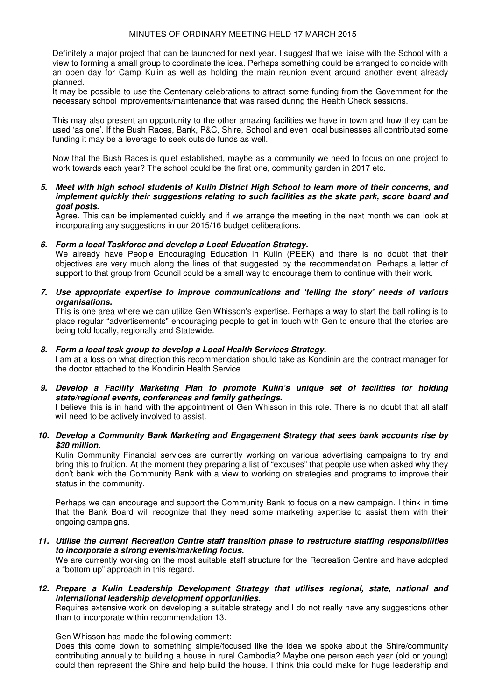Definitely a major project that can be launched for next year. I suggest that we liaise with the School with a view to forming a small group to coordinate the idea. Perhaps something could be arranged to coincide with an open day for Camp Kulin as well as holding the main reunion event around another event already planned.

It may be possible to use the Centenary celebrations to attract some funding from the Government for the necessary school improvements/maintenance that was raised during the Health Check sessions.

This may also present an opportunity to the other amazing facilities we have in town and how they can be used 'as one'. If the Bush Races, Bank, P&C, Shire, School and even local businesses all contributed some funding it may be a leverage to seek outside funds as well.

Now that the Bush Races is quiet established, maybe as a community we need to focus on one project to work towards each year? The school could be the first one, community garden in 2017 etc.

**5. Meet with high school students of Kulin District High School to learn more of their concerns, and implement quickly their suggestions relating to such facilities as the skate park, score board and goal posts.** 

Agree. This can be implemented quickly and if we arrange the meeting in the next month we can look at incorporating any suggestions in our 2015/16 budget deliberations.

#### **6. Form a local Taskforce and develop a Local Education Strategy.**

We already have People Encouraging Education in Kulin (PEEK) and there is no doubt that their objectives are very much along the lines of that suggested by the recommendation. Perhaps a letter of support to that group from Council could be a small way to encourage them to continue with their work.

**7. Use appropriate expertise to improve communications and 'telling the story' needs of various organisations.** 

This is one area where we can utilize Gen Whisson's expertise. Perhaps a way to start the ball rolling is to place regular "advertisements" encouraging people to get in touch with Gen to ensure that the stories are being told locally, regionally and Statewide.

#### **8. Form a local task group to develop a Local Health Services Strategy.**

I am at a loss on what direction this recommendation should take as Kondinin are the contract manager for the doctor attached to the Kondinin Health Service.

### **9. Develop a Facility Marketing Plan to promote Kulin's unique set of facilities for holding state/regional events, conferences and family gatherings.**

I believe this is in hand with the appointment of Gen Whisson in this role. There is no doubt that all staff will need to be actively involved to assist.

#### **10. Develop a Community Bank Marketing and Engagement Strategy that sees bank accounts rise by \$30 million.**

Kulin Community Financial services are currently working on various advertising campaigns to try and bring this to fruition. At the moment they preparing a list of "excuses" that people use when asked why they don't bank with the Community Bank with a view to working on strategies and programs to improve their status in the community.

Perhaps we can encourage and support the Community Bank to focus on a new campaign. I think in time that the Bank Board will recognize that they need some marketing expertise to assist them with their ongoing campaigns.

**11. Utilise the current Recreation Centre staff transition phase to restructure staffing responsibilities to incorporate a strong events/marketing focus.** 

We are currently working on the most suitable staff structure for the Recreation Centre and have adopted a "bottom up" approach in this regard.

**12. Prepare a Kulin Leadership Development Strategy that utilises regional, state, national and international leadership development opportunities.** 

Requires extensive work on developing a suitable strategy and I do not really have any suggestions other than to incorporate within recommendation 13.

Gen Whisson has made the following comment:

Does this come down to something simple/focused like the idea we spoke about the Shire/community contributing annually to building a house in rural Cambodia? Maybe one person each year (old or young) could then represent the Shire and help build the house. I think this could make for huge leadership and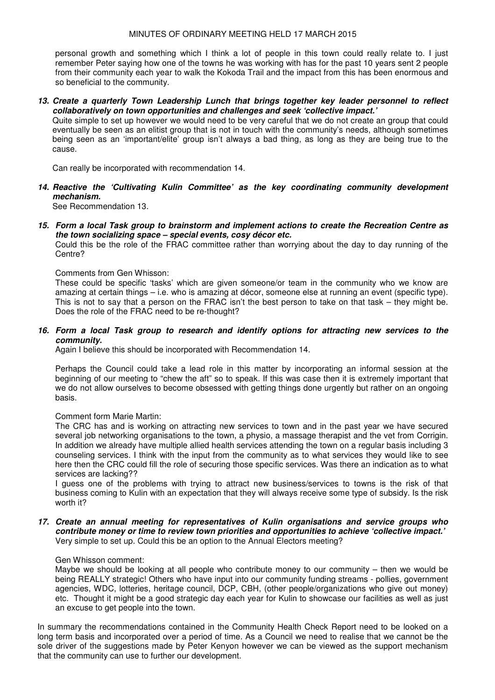personal growth and something which I think a lot of people in this town could really relate to. I just remember Peter saying how one of the towns he was working with has for the past 10 years sent 2 people from their community each year to walk the Kokoda Trail and the impact from this has been enormous and so beneficial to the community.

**13. Create a quarterly Town Leadership Lunch that brings together key leader personnel to reflect collaboratively on town opportunities and challenges and seek 'collective impact.'** 

Quite simple to set up however we would need to be very careful that we do not create an group that could eventually be seen as an elitist group that is not in touch with the community's needs, although sometimes being seen as an 'important/elite' group isn't always a bad thing, as long as they are being true to the cause.

Can really be incorporated with recommendation 14.

**14. Reactive the 'Cultivating Kulin Committee' as the key coordinating community development mechanism.** 

See Recommendation 13.

**15. Form a local Task group to brainstorm and implement actions to create the Recreation Centre as the town socializing space – special events, cosy décor etc.** 

Could this be the role of the FRAC committee rather than worrying about the day to day running of the Centre?

#### Comments from Gen Whisson:

These could be specific 'tasks' which are given someone/or team in the community who we know are amazing at certain things – i.e. who is amazing at décor, someone else at running an event (specific type). This is not to say that a person on the FRAC isn't the best person to take on that task – they might be. Does the role of the FRAC need to be re-thought?

#### **16. Form a local Task group to research and identify options for attracting new services to the community.**

Again I believe this should be incorporated with Recommendation 14.

Perhaps the Council could take a lead role in this matter by incorporating an informal session at the beginning of our meeting to "chew the aft" so to speak. If this was case then it is extremely important that we do not allow ourselves to become obsessed with getting things done urgently but rather on an ongoing basis.

#### Comment form Marie Martin:

The CRC has and is working on attracting new services to town and in the past year we have secured several job networking organisations to the town, a physio, a massage therapist and the vet from Corrigin. In addition we already have multiple allied health services attending the town on a regular basis including 3 counseling services. I think with the input from the community as to what services they would like to see here then the CRC could fill the role of securing those specific services. Was there an indication as to what services are lacking??

I guess one of the problems with trying to attract new business/services to towns is the risk of that business coming to Kulin with an expectation that they will always receive some type of subsidy. Is the risk worth it?

**17. Create an annual meeting for representatives of Kulin organisations and service groups who contribute money or time to review town priorities and opportunities to achieve 'collective impact.'**  Very simple to set up. Could this be an option to the Annual Electors meeting?

#### Gen Whisson comment:

Maybe we should be looking at all people who contribute money to our community – then we would be being REALLY strategic! Others who have input into our community funding streams - pollies, government agencies, WDC, lotteries, heritage council, DCP, CBH, (other people/organizations who give out money) etc. Thought it might be a good strategic day each year for Kulin to showcase our facilities as well as just an excuse to get people into the town.

In summary the recommendations contained in the Community Health Check Report need to be looked on a long term basis and incorporated over a period of time. As a Council we need to realise that we cannot be the sole driver of the suggestions made by Peter Kenyon however we can be viewed as the support mechanism that the community can use to further our development.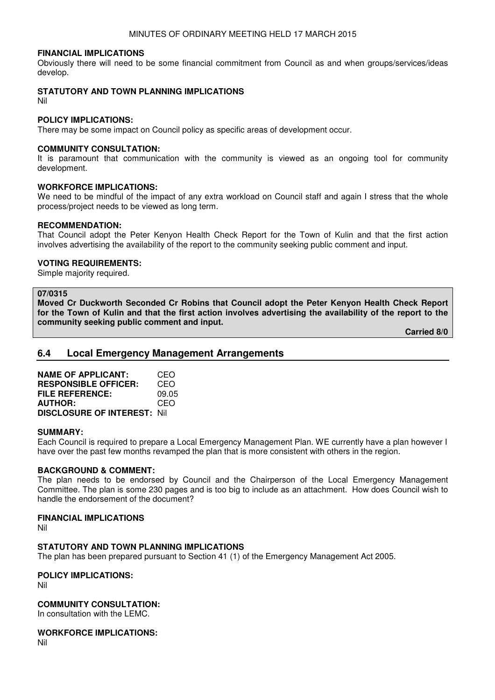### **FINANCIAL IMPLICATIONS**

Obviously there will need to be some financial commitment from Council as and when groups/services/ideas develop.

#### **STATUTORY AND TOWN PLANNING IMPLICATIONS**

Nil

#### **POLICY IMPLICATIONS:**

There may be some impact on Council policy as specific areas of development occur.

#### **COMMUNITY CONSULTATION:**

It is paramount that communication with the community is viewed as an ongoing tool for community development.

#### **WORKFORCE IMPLICATIONS:**

We need to be mindful of the impact of any extra workload on Council staff and again I stress that the whole process/project needs to be viewed as long term.

### **RECOMMENDATION:**

That Council adopt the Peter Kenyon Health Check Report for the Town of Kulin and that the first action involves advertising the availability of the report to the community seeking public comment and input.

#### **VOTING REQUIREMENTS:**

Simple majority required.

#### **07/0315**

**Moved Cr Duckworth Seconded Cr Robins that Council adopt the Peter Kenyon Health Check Report for the Town of Kulin and that the first action involves advertising the availability of the report to the community seeking public comment and input.** 

 **Carried 8/0** 

### **6.4 Local Emergency Management Arrangements**

| <b>NAME OF APPLICANT:</b>           | CEO   |
|-------------------------------------|-------|
| <b>RESPONSIBLE OFFICER:</b>         | CEO   |
| <b>FILE REFERENCE:</b>              | 09.05 |
| <b>AUTHOR:</b>                      | CEO   |
| <b>DISCLOSURE OF INTEREST: Nill</b> |       |

#### **SUMMARY:**

Each Council is required to prepare a Local Emergency Management Plan. WE currently have a plan however I have over the past few months revamped the plan that is more consistent with others in the region.

#### **BACKGROUND & COMMENT:**

The plan needs to be endorsed by Council and the Chairperson of the Local Emergency Management Committee. The plan is some 230 pages and is too big to include as an attachment. How does Council wish to handle the endorsement of the document?

#### **FINANCIAL IMPLICATIONS**

Nil

#### **STATUTORY AND TOWN PLANNING IMPLICATIONS**

The plan has been prepared pursuant to Section 41 (1) of the Emergency Management Act 2005.

### **POLICY IMPLICATIONS:**

Nil

### **COMMUNITY CONSULTATION:**

In consultation with the LEMC.

#### **WORKFORCE IMPLICATIONS:**

Nil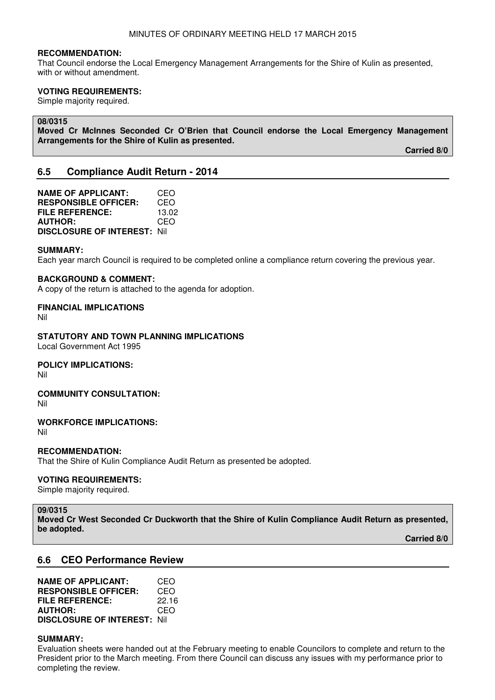#### **RECOMMENDATION:**

That Council endorse the Local Emergency Management Arrangements for the Shire of Kulin as presented, with or without amendment.

#### **VOTING REQUIREMENTS:**

Simple majority required.

#### **08/0315**

**Moved Cr McInnes Seconded Cr O'Brien that Council endorse the Local Emergency Management Arrangements for the Shire of Kulin as presented.** 

 **Carried 8/0** 

### **6.5 Compliance Audit Return - 2014**

**NAME OF APPLICANT:** CEO **RESPONSIBLE OFFICER:** CEO **FILE REFERENCE:** 13.02 **AUTHOR:** CEO **DISCLOSURE OF INTEREST:** Nil

#### **SUMMARY:**

Each year march Council is required to be completed online a compliance return covering the previous year.

#### **BACKGROUND & COMMENT:**

A copy of the return is attached to the agenda for adoption.

#### **FINANCIAL IMPLICATIONS**

Nil

**STATUTORY AND TOWN PLANNING IMPLICATIONS**  Local Government Act 1995

**POLICY IMPLICATIONS:**

Nil

#### **COMMUNITY CONSULTATION:**

Nil

### **WORKFORCE IMPLICATIONS:**

Nil

### **RECOMMENDATION:**

That the Shire of Kulin Compliance Audit Return as presented be adopted.

### **VOTING REQUIREMENTS:**

Simple majority required.

**09/0315 Moved Cr West Seconded Cr Duckworth that the Shire of Kulin Compliance Audit Return as presented, be adopted.** 

 **Carried 8/0** 

### **6.6 CEO Performance Review**

**NAME OF APPLICANT:** CEO **RESPONSIBLE OFFICER:** CEO<br>FILE REFERENCE: 22.16 **FILE REFERENCE: AUTHOR:** CEO **DISCLOSURE OF INTEREST:** Nil

#### **SUMMARY:**

Evaluation sheets were handed out at the February meeting to enable Councilors to complete and return to the President prior to the March meeting. From there Council can discuss any issues with my performance prior to completing the review.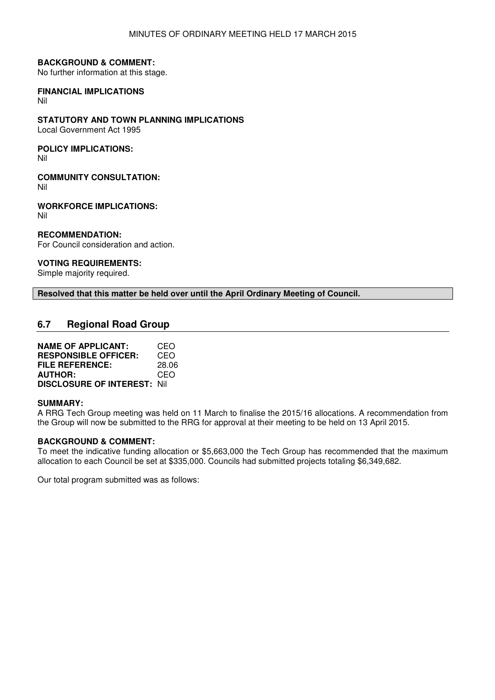#### **BACKGROUND & COMMENT:**

No further information at this stage.

## **FINANCIAL IMPLICATIONS**

Nil

### **STATUTORY AND TOWN PLANNING IMPLICATIONS**

Local Government Act 1995

### **POLICY IMPLICATIONS:**

Nil

**COMMUNITY CONSULTATION:**

Nil

**WORKFORCE IMPLICATIONS:** Nil

### **RECOMMENDATION:**

For Council consideration and action.

### **VOTING REQUIREMENTS:**

Simple majority required.

### **Resolved that this matter be held over until the April Ordinary Meeting of Council.**

### **6.7 Regional Road Group**

| <b>NAME OF APPLICANT:</b>          | CEO   |
|------------------------------------|-------|
| <b>RESPONSIBLE OFFICER:</b>        | CEO   |
| <b>FILE REFERENCE:</b>             | 28.06 |
| <b>AUTHOR:</b>                     | CEO   |
| <b>DISCLOSURE OF INTEREST: Nil</b> |       |

#### **SUMMARY:**

A RRG Tech Group meeting was held on 11 March to finalise the 2015/16 allocations. A recommendation from the Group will now be submitted to the RRG for approval at their meeting to be held on 13 April 2015.

#### **BACKGROUND & COMMENT:**

To meet the indicative funding allocation or \$5,663,000 the Tech Group has recommended that the maximum allocation to each Council be set at \$335,000. Councils had submitted projects totaling \$6,349,682.

Our total program submitted was as follows: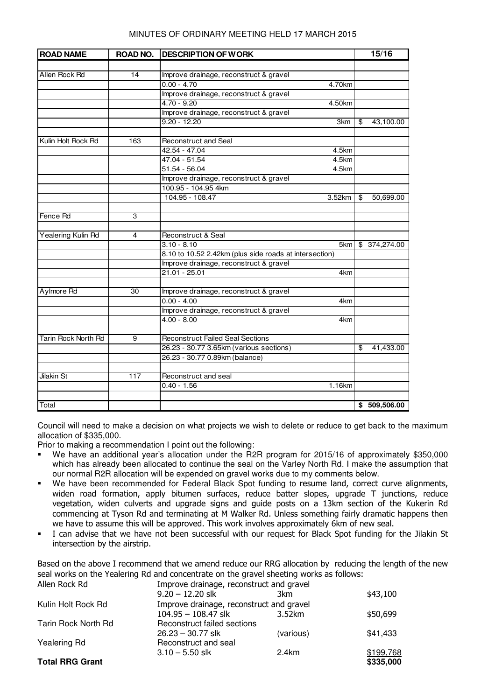| <b>ROAD NAME</b>    | ROAD NO.        | <b>DESCRIPTION OF WORK</b>                             |    | 15/16         |
|---------------------|-----------------|--------------------------------------------------------|----|---------------|
|                     |                 |                                                        |    |               |
| Allen Rock Rd       | $\overline{14}$ | Improve drainage, reconstruct & gravel                 |    |               |
|                     |                 | $0.00 - 4.70$<br>4.70km                                |    |               |
|                     |                 | Improve drainage, reconstruct & gravel                 |    |               |
|                     |                 | $4.70 - 9.20$<br>4.50km                                |    |               |
|                     |                 | Improve drainage, reconstruct & gravel                 |    |               |
|                     |                 | $9.20 - 12.20$<br>3km                                  | க  | 43,100.00     |
|                     |                 |                                                        |    |               |
| Kulin Holt Rock Rd  | 163             | <b>Reconstruct and Seal</b>                            |    |               |
|                     |                 | 42.54 - 47.04<br>4.5km                                 |    |               |
|                     |                 | 47.04 - 51.54<br>4.5km                                 |    |               |
|                     |                 | $51.54 - 56.04$<br>4.5km                               |    |               |
|                     |                 | Improve drainage, reconstruct & gravel                 |    |               |
|                     |                 | 100.95 - 104.95 4km                                    |    |               |
|                     |                 | 104.95 - 108.47<br>3.52km                              | \$ | 50,699.00     |
|                     |                 |                                                        |    |               |
| Fence Rd            | 3               |                                                        |    |               |
|                     |                 |                                                        |    |               |
| Yealering Kulin Rd  | 4               | Reconstruct & Seal                                     |    |               |
|                     |                 | $3.10 - 8.10$<br>5km                                   |    | \$ 374,274.00 |
|                     |                 | 8.10 to 10.52 2.42km (plus side roads at intersection) |    |               |
|                     |                 | Improve drainage, reconstruct & gravel                 |    |               |
|                     |                 | $21.01 - 25.01$<br>4km                                 |    |               |
|                     |                 |                                                        |    |               |
| Aylmore Rd          | 30              | Improve drainage, reconstruct & gravel                 |    |               |
|                     |                 | $0.00 - 4.00$<br>4km                                   |    |               |
|                     |                 | Improve drainage, reconstruct & gravel                 |    |               |
|                     |                 | $4.00 - 8.00$<br>4km                                   |    |               |
|                     |                 |                                                        |    |               |
| Tarin Rock North Rd | $\overline{9}$  | <b>Reconstruct Failed Seal Sections</b>                |    |               |
|                     |                 | 26.23 - 30.77 3.65km (various sections)                | \$ | 41,433.00     |
|                     |                 | 26.23 - 30.77 0.89km (balance)                         |    |               |
|                     |                 |                                                        |    |               |
| Jilakin St          | 117             | Reconstruct and seal                                   |    |               |
|                     |                 | $0.40 - 1.56$<br>1.16km                                |    |               |
|                     |                 |                                                        |    |               |
| Total               |                 |                                                        |    | \$509,506.00  |

Council will need to make a decision on what projects we wish to delete or reduce to get back to the maximum allocation of \$335,000.

Prior to making a recommendation I point out the following:

- We have an additional year's allocation under the R2R program for 2015/16 of approximately \$350,000 which has already been allocated to continue the seal on the Varley North Rd. I make the assumption that our normal R2R allocation will be expended on gravel works due to my comments below.
- We have been recommended for Federal Black Spot funding to resume land, correct curve alignments, widen road formation, apply bitumen surfaces, reduce batter slopes, upgrade T junctions, reduce vegetation, widen culverts and upgrade signs and guide posts on a 13km section of the Kukerin Rd commencing at Tyson Rd and terminating at M Walker Rd. Unless something fairly dramatic happens then we have to assume this will be approved. This work involves approximately 6km of new seal.
- I can advise that we have not been successful with our request for Black Spot funding for the Jilakin St intersection by the airstrip.

Based on the above I recommend that we amend reduce our RRG allocation by reducing the length of the new seal works on the Yealering Rd and concentrate on the gravel sheeting works as follows:

| Allen Rock Rd          | Improve drainage, reconstruct and gravel |           |           |
|------------------------|------------------------------------------|-----------|-----------|
|                        | $9.20 - 12.20$ slk                       | 3km       | \$43,100  |
| Kulin Holt Rock Rd     | Improve drainage, reconstruct and gravel |           |           |
|                        | $104.95 - 108.47$ slk                    | 3.52km    | \$50,699  |
| Tarin Rock North Rd    | Reconstruct failed sections              |           |           |
|                        | $26.23 - 30.77$ slk                      | (various) | \$41,433  |
| Yealering Rd           | Reconstruct and seal                     |           |           |
|                        | $3.10 - 5.50$ slk                        | 2.4km     | \$199,768 |
| <b>Total RRG Grant</b> |                                          |           | \$335,000 |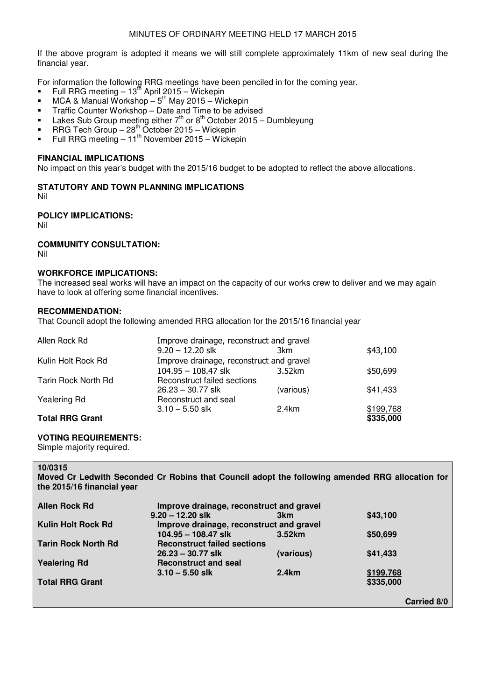If the above program is adopted it means we will still complete approximately 11km of new seal during the financial year.

For information the following RRG meetings have been penciled in for the coming year.

- Full RRG meeting  $-13^{th}$  April 2015 Wickepin
- $\blacksquare$  MCA & Manual Workshop 5<sup>th</sup> May 2015 Wickepin
- Traffic Counter Workshop Date and Time to be advised
- **Lakes Sub Group meeting either**  $7<sup>th</sup>$  **or 8<sup>th</sup> October 2015 Dumbleyung**
- RRG Tech Group  $-28^{th}$  October 2015 Wickepin
- Full RRG meeting  $-11^{\text{th}}$  November 2015 Wickepin

#### **FINANCIAL IMPLICATIONS**

No impact on this year's budget with the 2015/16 budget to be adopted to reflect the above allocations.

**STATUTORY AND TOWN PLANNING IMPLICATIONS** 

Nil

### **POLICY IMPLICATIONS:**

Nil

### **COMMUNITY CONSULTATION:**

Nil

#### **WORKFORCE IMPLICATIONS:**

The increased seal works will have an impact on the capacity of our works crew to deliver and we may again have to look at offering some financial incentives.

#### **RECOMMENDATION:**

That Council adopt the following amended RRG allocation for the 2015/16 financial year

| Allen Rock Rd          | Improve drainage, reconstruct and gravel |           |           |
|------------------------|------------------------------------------|-----------|-----------|
|                        | $9.20 - 12.20$ slk                       | 3km       | \$43,100  |
| Kulin Holt Rock Rd     | Improve drainage, reconstruct and gravel |           |           |
|                        | $104.95 - 108.47$ slk                    | 3.52km    | \$50,699  |
| Tarin Rock North Rd    | Reconstruct failed sections              |           |           |
|                        | $26.23 - 30.77$ slk                      | (various) | \$41,433  |
| Yealering Rd           | Reconstruct and seal                     |           |           |
|                        | $3.10 - 5.50$ slk                        | 2.4km     | \$199,768 |
| <b>Total RRG Grant</b> |                                          |           | \$335,000 |

### **VOTING REQUIREMENTS:**

Simple majority required.

### **10/0315**

ֺ֝֡

**Moved Cr Ledwith Seconded Cr Robins that Council adopt the following amended RRG allocation for the 2015/16 financial year** 

| <b>Allen Rock Rd</b>       | Improve drainage, reconstruct and gravel |                 |                    |
|----------------------------|------------------------------------------|-----------------|--------------------|
|                            | $9.20 - 12.20$ slk                       | 3 <sub>km</sub> | \$43,100           |
| <b>Kulin Holt Rock Rd</b>  | Improve drainage, reconstruct and gravel |                 |                    |
|                            | $104.95 - 108.47$ slk                    | 3.52km          | \$50,699           |
| <b>Tarin Rock North Rd</b> | <b>Reconstruct failed sections</b>       |                 |                    |
|                            | $26.23 - 30.77$ slk                      | (various)       | \$41,433           |
| <b>Yealering Rd</b>        | <b>Reconstruct and seal</b>              |                 |                    |
|                            | $3.10 - 5.50$ slk                        | 2.4km           | \$199,768          |
| <b>Total RRG Grant</b>     |                                          |                 | \$335,000          |
|                            |                                          |                 |                    |
|                            |                                          |                 | <b>Carried 8/0</b> |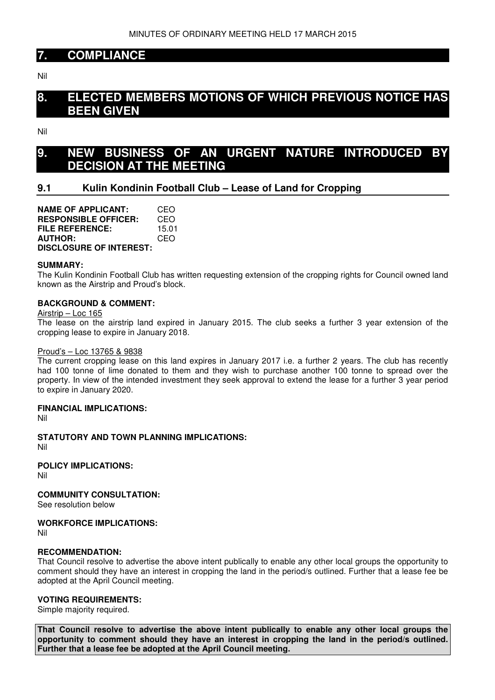### **7. COMPLIANCE**

Nil

## **8. ELECTED MEMBERS MOTIONS OF WHICH PREVIOUS NOTICE HAS BEEN GIVEN**

Nil

## **9. NEW BUSINESS OF AN URGENT NATURE INTRODUCED BY DECISION AT THE MEETING**

### **9.1 Kulin Kondinin Football Club – Lease of Land for Cropping**

**NAME OF APPLICANT:** CEO **RESPONSIBLE OFFICER:** CEO **FILE REFERENCE:** 15.01 **AUTHOR:** CEO **DISCLOSURE OF INTEREST:** 

#### **SUMMARY:**

The Kulin Kondinin Football Club has written requesting extension of the cropping rights for Council owned land known as the Airstrip and Proud's block.

#### **BACKGROUND & COMMENT:**

Airstrip – Loc 165

The lease on the airstrip land expired in January 2015. The club seeks a further 3 year extension of the cropping lease to expire in January 2018.

#### Proud's – Loc 13765 & 9838

The current cropping lease on this land expires in January 2017 i.e. a further 2 years. The club has recently had 100 tonne of lime donated to them and they wish to purchase another 100 tonne to spread over the property. In view of the intended investment they seek approval to extend the lease for a further 3 year period to expire in January 2020.

#### **FINANCIAL IMPLICATIONS:**

Nil

**STATUTORY AND TOWN PLANNING IMPLICATIONS:**  Nil

**POLICY IMPLICATIONS:**

Nil

#### **COMMUNITY CONSULTATION:**

See resolution below

#### **WORKFORCE IMPLICATIONS:**

Nil

#### **RECOMMENDATION:**

That Council resolve to advertise the above intent publically to enable any other local groups the opportunity to comment should they have an interest in cropping the land in the period/s outlined. Further that a lease fee be adopted at the April Council meeting.

### **VOTING REQUIREMENTS:**

Simple majority required.

**That Council resolve to advertise the above intent publically to enable any other local groups the opportunity to comment should they have an interest in cropping the land in the period/s outlined. Further that a lease fee be adopted at the April Council meeting.**